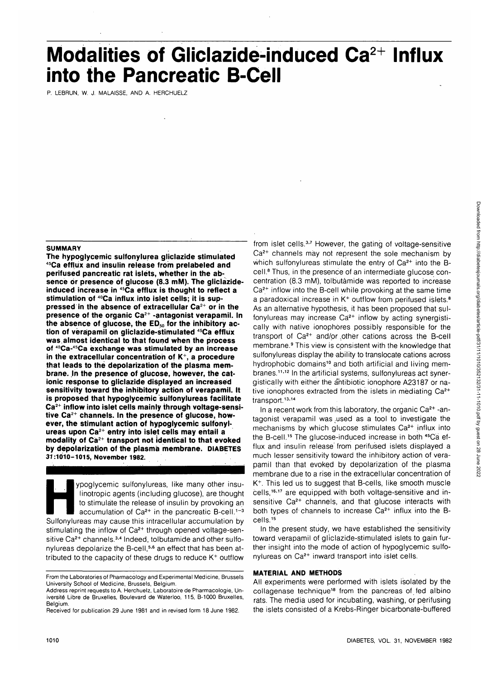# **Modalities of Gliclazide-induced Ca2+ Influx into the Pancreatic B-Cell**

P. LEBRUN, W. J. MALAISSE, AND A. HERCHUELZ

#### **SUMMARY**

**The hypoglycemic sulfonylurea gliclazide stimulated 45Ca efflux and insulin release from prelabeled and perifused pancreatic rat islets, whether in the absence or presence of glucose (8.3 mM). The gliclazideinduced increase in 4SCa efflux is thought to reflect a stimulation of 40Ca influx into islet cells; it is suppressed in the absence of extracellular Ca2+ or in the presence of the organic Ca2+ -antagonist verapamil. In** the absence of glucose, the ED<sub>50</sub> for the inhibitory ac**tion of verapamil on gliclazide-stimulated 45Ca efflux was.almost identical to that found when the process of 40Ca-45Ca exchange was stimulated by an increase in the extracellular concentration of K+ , a procedure that leads to the depolarization of the plasma mem**brane. In the presence of glucose, however, the cat**ionic response to gliclazide displayed an increased sensitivity toward the inhibitory action of verapamil. It is proposed that hypoglycemic sulfonylureas facilitate Ca2+ inflow into islet cells mainly through voltage-sensitive Ca2+ channels. In the presence of glucose, however, the stimulant action of hypoglycemic sulfonylureas upon Ca2+ entry into islet cells may entail a modality of Ca2+ transport not identical to that evoked by depolarization of the plasma membrane, DIABETES 37:1010-1015, November 1982.**

ypoglycemic sulfonylureas, like many other insu-<br>tinotropic agents (including glucose), are thought<br>to stimulate the release of insulin by provoking an<br>accumulation of  $Ca^{2+}$  in the pancreatic B-cell.<sup>1-3</sup><br>Sulfonylureas linotropic agents (including glucose), are thought to stimulate the release of insulin by provoking an accumulation of  $Ca^{2+}$  in the pancreatic B-cell.<sup>1-3</sup> Sulfonylureas may cause this intracellular accumulation by stimulating the inflow of Ca<sup>2+</sup> through opened voltage-sensitive Ca<sup>2+</sup> channels.<sup>3,4</sup> Indeed, tolbutamide and other sulfonylureas depolarize the B-cell,<sup>5,6</sup> an effect that has been attributed to the capacity of these drugs to reduce  $K^+$  outflow

from islet cells.<sup>3,7</sup> However, the gating of voltage-sensitive Ca<sup>2+</sup> channels may not represent the sole mechanism by which sulfonylureas stimulate the entry of  $Ca<sup>2+</sup>$  into the  $B$ cell.<sup>8</sup> Thus, in the presence of an intermediate glucose concentration (8.3 mM), tolbutamide was reported to increase Ca<sup>2+</sup> inflow into the B-cell while provoking at the same time a paradoxical increase in  $K^+$  outflow from perifused islets.<sup>8</sup> As an alternative hypothesis, it has been proposed that sulfonylureas may increase Ca<sup>2+</sup> inflow by acting synergistically with native ionophores possibly responsible for the transport of Ca<sup>2+</sup> and/or other cations across the B-cell membrane.9 This view is consistent with the knowledge that sulfonylureas display the ability to translocate cations across hydrophobic domains<sup>10</sup> and both artificial and living membranes.<sup>11,12</sup> In the artificial systems, sulfonylureas act synergistically with either the antibiotic ionophore A23187 or native ionophores extracted from the islets in mediating Ca<sup>2+</sup> transport.<sup>13,14</sup>

In a recent work from this laboratory, the organic Ca<sup>2+</sup> -antagonist verapamil was .used as a tool to investigate the mechanisms by which glucose stimulates Ca<sup>2+</sup> influx into the B-cell.<sup>15</sup> The glucose-induced increase in both <sup>45</sup>Ca efflux and insulin release'from perifused islets displayed a much lesser sensitivity toward the inhibitory action of verapamil than that evoked by depolarization of the plasma membrane due to a rise in the extracellular concentration of K+ . This led us to suggest that B-cells, like smooth muscle cells,<sup>16,17</sup> are equipped with both voltage-sensitive and insensitive Ca<sup>2+</sup> channels, and that glucose interacts with both types of channels to increase Ca<sup>2+</sup> influx into the Bcells.<sup>15</sup>

In the present study, we have established the sensitivity toward verapamil of gliclazide-stimulated islets to gain further insight into the mode of action of hypoglycemic sulfonylureas on Ca<sup>2+</sup> inward transport into islet cells.

#### **MATERIAL AND METHODS**

All experiments were performed with islets isolated by the collagenase technique<sup>18</sup> from the pancreas of fed albino rats. The media used for incubating, washing, or perifusing the islets consisted of a Krebs-Ringer bicarbonate-buffered

From the Laboratories of Pharmacology and Experimental Medicine, Brussels University School of Medicine, Brussels, Belgium.

Address reprint requests to A. Herchuelz, Laboratoire de Pharmacologie, Universite Libre de Bruxelles, Boulevard de Waterloo, 115, B-1000 Bruxelles, Belgium.

Received for publication 29 June 1981 and in revised form 18 June 1982.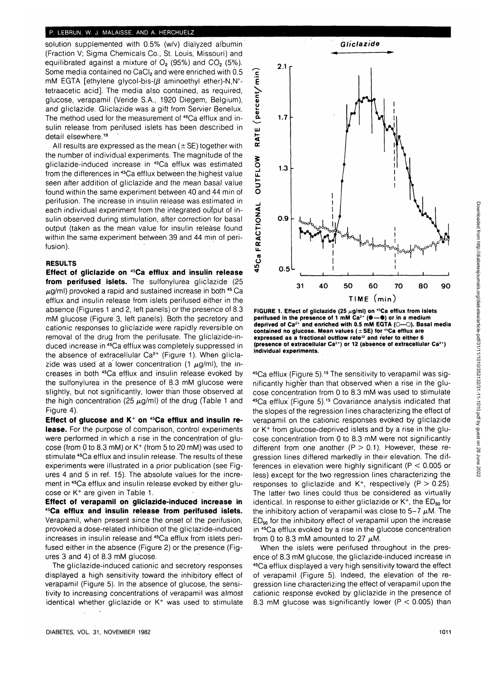#### **P. LEBRUN, W. J. MALAISSE, AND A. HERCHUELZ**

solution supplemented with 0.5% (w/v) dialyzed albumin (Fraction V; Sigma Chemicals Co., St. Louis, Missouri) and equilibrated against a mixture of  $O_2$  (95%) and  $CO_2$  (5%). Some media contained no CaCI<sub>2</sub> and were enriched with 0.5 mM EGTA [ethylene glycol-bis- $(\beta$  aminoethyl ether)-N,N'tetraacetic acid]. The media also contained, as required, glucose, verapamil (Veride S.A., 1920 Diegem, Belgium), and gliclazide. Gliclazide was a gift from Servier Benelux. The method used for the measurement of <sup>45</sup>Ca efflux and insulin release from perifused islets has been described in detail elsewhere.<sup>19</sup>

All results are expressed as the mean  $(\pm S E)$  together with the number of individual experiments. The magnitude of the gliclazide-induced increase in 45Ca efflux was estimated from the differences in 45Ca efflux between the.highest value seen after addition of gliclazide and the mean basal value found within the same experiment between 40 and 44 min of perifusion. The increase in insulin release was estimated in each individual experiment from the integrated output of insulin observed during stimulation, after correction for basal output (taken as the mean value for. insulin release found within the same experiment between 39 and 44 min of perifusion).

# **RESULTS**

**Effect of gliclazide on 45Ca efflux and insulin release** from perifused islets. The sulfonylurea gliclazide (25  $\mu$ g/ml) provoked a rapid and sustained increase in both  $45$  Ca efflux and insulin release from islets perifused either in the absence (Figures 1 and 2, left panels) or the presence of 8.3 mM glucose (Figure 3, left panels). Both the secretory and cationic responses to gliclazide were rapidly reversible.on removal of the drug from the perifusate. The gliclazide-induced increase in 45Ca efflux was completely suppressed in the absence of extracellular Ca<sup>2+</sup> (Figure 1). When gliclazide was used at a lower concentration (1  $\mu$ g/ml), the increases in both 45Ca efflux and insulin release evoked by the sulfonylurea in the presence of 8.3 mM glucose were slightly, but not significantly, lower than those observed at the high concentration (25  $\mu$ g/ml) of the drug (Table 1 and Figure 4).

**Effect of glucose and K+ on 45Ca efflux and insulin release.** For the purpose of comparison, control experiments were performed in which a rise in the concentration of glu- $\cos$ e (from 0 to 8.3 mM) or K<sup>+</sup> (from 5 to 20 mM) was used to stimulate 45Ca efflux and insulin release. The results'of these experiments were illustrated in a prior publication (see Figures 4 and 5 in ref. 15). The absolute values for the increment in 45Ca efflux and insulin release evoked by either glucose or K<sup>+</sup> are given in Table 1.

**Effect of verapamil on gliclazide-induced increase in 45Ca efflux and insulin release from perifused islets.** Verapamil, when present since the onset of the perifusion, provoked a dose-related inhibition of the gliclazide-induced increases in insulin release and 45Ca efflux from islets perifused either in the absence (Figure 2) or the presence (Figures 3 and 4) of 8.3 mM glucose.

The gliclazide-induced cationic and secretory responses displayed a high sensitivity toward the inhibitory effect of verapamil (Figure 5). In the absence of glucose, the sensitivity to increasing concentrations of verapamil was almost identical whether gliclazide or K+ was used to stimulate



FIGURE 1. Effect of gliclazide (25 µg/ml) on <sup>45</sup>Ca efflux from islets **perifused in the presence of 1 mM Ca2+ (•—•) or in a medium deprived of Ca2+ and enriched with 0.5 mM EGTA (O—O). Basal media contained no glucose. Mean values (±SE) for 45Ca efflux are expressed as a fractional outflow rate<sup>32</sup> and refer to either 6 (presence of extracellular Ca2+) or 12 (absence of extracellular Ca2 ") individual experiments.**

<sup>45</sup>Ca efflux (Figure 5).<sup>15</sup> The sensitivity to verapamil was significantly higher than that observed when a rise in the glucose concentration from 0 to 8.3 mM was used to stimulate 45Ca efflux'(Figure 5).15 Covariance analysis indicated that the slopes of the regression lines characterizing the effect of verapamil on the cationic responses evoked by gliclazide or K+ from glucose-deprived islets and by a rise in the glucose concentration from 0 to 8.3 mM were not significantly different from one another  $(P > 0.1)$ . However, these regression lines differed markedly in their elevation. The differences in elevation were highly significant ( $P < 0.005$  or less) except for the two regression lines characterizing the responses to gliclazide and  $K^+$ , respectively (P  $> 0.25$ ). The latter two lines could thus be considered as virtually identical. In response to either gliclazide or  $K^+$ , the  $ED_{50}$  for the inhibitory action of verapamil was close to  $5-7 \mu$ M. The  $ED_{50}$  for the inhibitory effect of verapamil upon the increase in 45Ca efflux evoked by a rise in the glucose concentration from 0 to 8.3 mM amounted to 27  $\mu$ M.

When the islets were perifused throughout in the presence of 8.3 mM glucose, the gliclazide-induced increase in 45Ca efflux displayed a very high sensitivity toward the effect of verapamil (Figure 5). Indeed, the elevation of the regression line characterizing the effect of verapamil upon the cationic response evoked by gliclazide in the presence of 8.3 mM glucose was significantly lower ( $P < 0.005$ ) than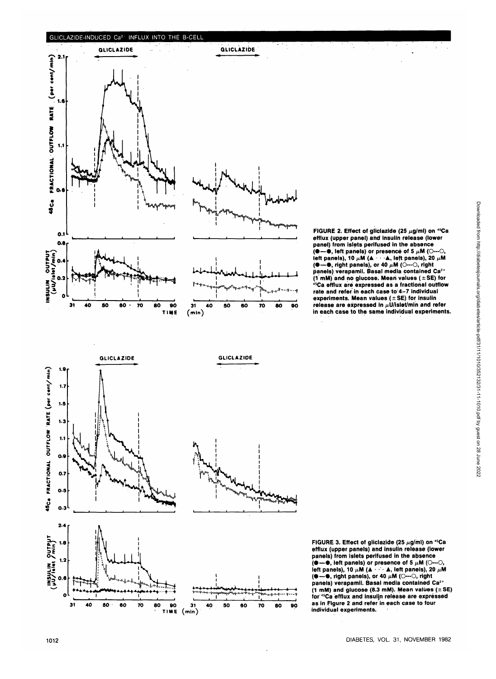#### **GLICLAZIDE-INDUCED Ca<sup>2</sup> ' INFLUX INTO THE B-CELL**





FIGURE 2. Effect of gliclazide (25 µg/ml) on <sup>45</sup>Ca **efflux (upper panel) and insulin release (lower panel) from islets perifused in the absence (●**—●, left panels) or presence of 5  $\mu$ M (○ left panels), 10  $\mu$ M ( $\blacktriangle$   $\cdots$   $\blacktriangle$ , left panels), 20  $\mu$ M **(●—●, right panels), or 40 µM (○---○, right panels) verapamil. Basal media contained Ca2+ (1 mM) and no glucose. Mean values (±SE) for 45Ca efflux are expressed as a fractional outflow rate and refer in each case to 4-7 individual experiments. Mean values (±SE) for insulin** release are expressed in  $\mu$ U/islet/min and refer **in each case to the same individual experiments.**



FIGURE 3. Effect of gliclazide (25  $\mu$ g/ml) on <sup>45</sup>Ca **efflux (upper panels) and insulin release (lower panels) from islets perifused in the absence (•—• , left panels) or presence of 5 ju.M (O—O, left panels), 10**  $\mu$ **M (** $\blacktriangle$  **• •**  $\blacktriangle$ **, left panels), 20**  $\mu$ **M (●—●, right panels), or 40 µM (○---○, right<br>panels) verapamil. Basal media contained Ca<sup>2+</sup> (1 mM) and glucose (8.3 mM). Mean values (± SE) for 45Ca efflux and insulin release are expressed as in Figure 2 and refer in each case to four individual experiments.**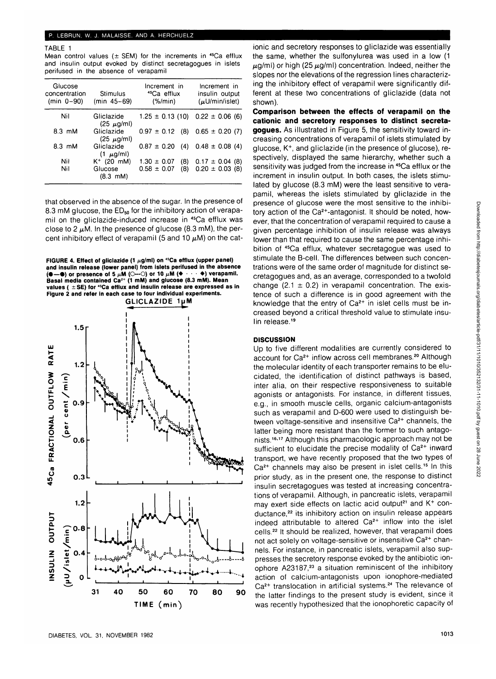#### **P. LEBRUN, W. J. MALAISSE, AND A. HERCHUELZ**

# TABLE 1

Mean control values ( $\pm$  SEM) for the increments in <sup>45</sup>Ca efflux and insulin output evoked by distinct secretagogues in islets perifused in the absence of verapamil

| Glucose<br>concentration<br>(min $0 - 90$ ) | Stimulus<br>(min 45-69)        | Increment in<br><sup>45</sup> Ca efflux<br>$(\% / min)$ | Increment in<br>insulin output<br>$(\mu U/min/islet)$ |
|---------------------------------------------|--------------------------------|---------------------------------------------------------|-------------------------------------------------------|
| Nil                                         | Gliclazide<br>$(25 \mu g/ml)$  | $1.25 \pm 0.13$ (10) $0.22 \pm 0.06$ (6)                |                                                       |
| $8.3 \text{ }\mathsf{mM}$                   | Gliclazide<br>$(25 \mu g/ml)$  | $0.97 \pm 0.12$ (8)                                     | $0.65 \pm 0.20$ (7)                                   |
| $8.3 \text{ }\text{mM}$                     | Gliclazide<br>$(1 \mu g/ml)$   | $0.87 \pm 0.20$ (4)                                     | $0.48 \pm 0.08$ (4)                                   |
| Nil                                         | $K^{+}$ (20 mM)                | (8)<br>$1.30 \pm 0.07$                                  | $0.17 \pm 0.04$ (8)                                   |
| Nil                                         | Glucose<br>$(8.3 \, \text{m})$ | $0.58 \pm 0.07$<br>(8)                                  | $0.20 \pm 0.03$ (8)                                   |

that observed in the absence of the sugar. In the presence of 8.3 mM glucose, the  $ED_{50}$  for the inhibitory action of verapamil on the gliclazide-induced increase in 45Ca efflux was close to 2  $\mu$ M. In the presence of glucose (8.3 mM), the percent inhibitory effect of verapamil (5 and 10  $\mu$ M) on the cat-

FIGURE 4. Effect of gliclazide (1  $\mu$ g/ml) on <sup>45</sup>Ca efflux (upper panel) **and insulin release (lower panel) from islets perifused in the absence**<br> $(\bullet \rightarrow \bullet)$  or presence of 5  $\mu$ M ( $\Diamond \rightarrow \circ$ ) or 10  $\mu$ M ( $\bullet \rightarrow \bullet$ ) verapamil.  $(\bullet - \bullet)$  or presence of 5  $\mu$ M (O---O) or 10  $\mu$ M ( $\bullet$ **Basal media contained Ca2+ (1 mM) and glucose (8.3 mM). Mean values ( ± SE) for 45Ca efflux and insulin release are expressed as in Figure 2 and refer in each case to four individual experiments.**



ionic and secretory responses to gliclazide was essentially the same, whether the sulfonylurea was used in a low (1  $\mu$ g/ml) or high (25  $\mu$ g/ml) concentration. Indeed, neither the slopes nor the elevations of the regression lines characterizing the inhibitory effect of verapamil were significantly different at these two concentrations of gliclazide (data not shown).

**Comparison between the effects of verapamil on the cationic and secretory responses to distinct secretagogues.** As illustrated in Figure 5, the sensitivity toward increasing concentrations of verapamil of islets stimulated by glucose, K+ , and gliclazide (in the presence of glucose), respectively, displayed the same hierarchy, whether such a sensitivity was judged from the increase in <sup>45</sup>Ca efflux or the increment in insulin output. In both cases, the islets stimulated by glucose (8.3 mM) were the least sensitive to verapamil, whereas the islets stimulated by gliclazide in the presence of glucose were the most sensitive to the inhibitory action of the Ca<sup>2+</sup>-antagonist. It should be noted, however, that the concentration of verapamil required to cause a given percentage inhibition of insulin release was always lower than that required to cause the same percentage inhibition of <sup>45</sup>Ca efflux, whatever secretagogue was used to stimulate the B-cell. The differences between such concentrations were of the same order of magnitude for distinct secretagogues and, as an average, corresponded to a twofold change (2.1  $\pm$  0.2) in verapamil concentration. The existence of such a difference is in good agreement with the knowledge that the entry of Ca<sup>2+</sup> in islet cells must be increased beyond a critical threshold value to stimulate insulin release.<sup>19</sup>

# **DISCUSSION**

Up to five different modalities are currently considered to account for Ca<sup>2+</sup> inflow across cell membranes.<sup>20</sup> Although the molecular identity of each transporter remains to be elucidated, the identification of distinct pathways is based, inter alia, on their respective responsiveness to suitable agonists or antagonists. For instance, in different tissues, e.g., in smooth muscle cells, organic calcium-antagonists such as verapamil and D-600 were used to distinguish between voltage-sensitive and insensitive Ca<sup>2+</sup> channels, the latter being more resistant than the former to such antagonists.<sup>16,17</sup> Although this pharmacologic approach may not be sufficient to elucidate the precise modality of  $Ca<sup>2+</sup>$  inward transport, we have recently proposed that the two types of ca<sup>2+</sup> channels may also be present in islet cells.<sup>15</sup> In this prior study, as in the present one, the response to distinct insulin secretagogues was tested at increasing concentrations of verapamil. Although, in pancreatic islets, verapamil may exert side effects on lactic acid output<sup>21</sup> and K<sup>+</sup> conductance,<sup>22</sup> its inhibitory action on insulin release appears indeed attributable to altered Ca2+ inflow into the islet moted, almodable to alleved based which the the version and the state of the motion of the motion of the motio not act solely on voltage-sensitive or insensitive Ca2+ channels. For instance, in pancreatic islets, verapamil also suppresses the secretory response evoked by the antibiotic ionpresses the secretory response evence by the antibiotic formulation.<br>ophore 193187.23 a situation reminiscent of the inhibitory action of calcium-antagonists upon ionophore-mediated action of calcium-antagonists upon fonopholo modiated<br>Ce<sup>2+</sup> translocation in artificial systems.<sup>24</sup> The relevance of the latter findings to the present study is evident, since it was recently hypothesized that the ionophoretic capacity of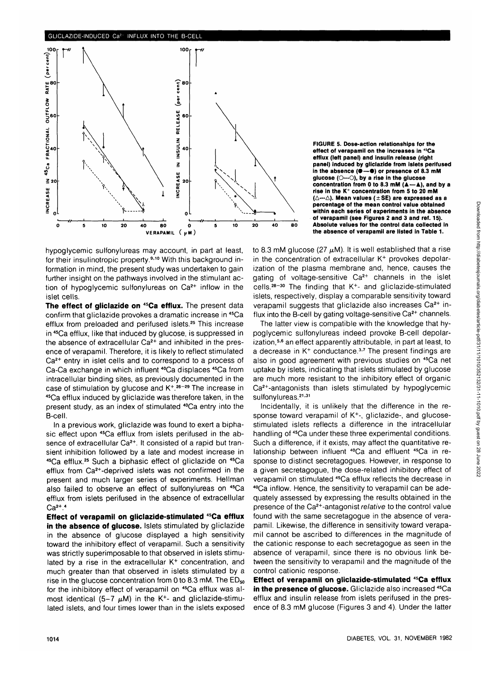

hypoglycemic sulfonylureas may account, in part at least, for their insulinotropic property.<sup>9,10</sup> With this background information in mind, the present study was undertaken to gain further insight on the pathways involved in the stimulant action of hypoglycemic sulfonylureas on Ca<sup>2+</sup> inflow in the islet cells.

**The effect of gliclazide on 45Ca efflux.** The present data confirm that gliclazide provokes a dramatic increase in 45Ca efflux from preloaded and perifused islets.<sup>25</sup> This increase in 45Ca efflux, like that induced by glucose, is suppressed in the absence of extracellular  $Ca<sup>2+</sup>$  and inhibited in the presence of verapamil. Therefore, it is likely to reflect stimulated Ca<sup>2+</sup> entry in islet cells and to correspond to a process of Ca-Ca exchange in which influent <sup>40</sup>Ca displaces <sup>45</sup>Ca from intracellular binding sites, as previously documented in the case of stimulation by glucose and K<sup>+26-29</sup> The increase in 45Ca efflux induced by gliclazide was therefore taken, in the present study, as an index of stimulated 40Ca entry into the B-cell.

In a previous work, gliclazide was found to exert a biphasic effect upon <sup>45</sup>Ca efflux from islets perifused in the absence of extracellular Ca<sup>2+</sup>. It consisted of a rapid but transient inhibition followed by a late and modest increase in <sup>45</sup>Ca efflux.<sup>25</sup> Such a biphasic effect of gliclazide on <sup>45</sup>Ca efflux from Ca2+-deprived islets was not confirmed in the present and much larger series of experiments. Hellman also failed to observe an effect of sulfonylureas on 45Ca efflux from islets perifused in the absence of extracellular  $Ca<sup>2+</sup>.<sup>4</sup>$ 

**Effect of verapamil on gliclazide-stimulated 45Ca efflux in the absence of glucose.** Islets stimulated by gliclazide in the absence of glucose displayed a high sensitivity toward the inhibitory effect of verapamil. Such a sensitivity was strictly superimposable to that observed in islets stimulated by a rise in the extracellular K<sup>+</sup> concentration, and much greater than that observed in islets stimulated by a rise in the glucose concentration from 0 to 8.3 mM. The  $ED_{50}$ for the inhibitory effect of verapamil on 45Ca efflux was almost identical (5–7  $\mu$ M) in the K<sup>+</sup>- and gliclazide-stimulated islets, and four times lower than in the islets exposed **FIGURE 5. Dose-action relationships for the effect of verapamil on the increases in 45Ca efflux (left panel) and insulin release (right panel) induced by gliclazide from islets perifused** in the absence ( $\bullet$ - $\bullet$ ) or presence of 8.3 mM glucose (O---O), by a rise in the glucose **concentration from 0 to 8.3 mM (** $\blacktriangle - \blacktriangle$ **), and by a rise in the K+ concentration from 5 to 20 mM (A—A). Mean values (±SE) are expressed as a percentage of the mean control value obtained within each series of experiments in the absence of verapamil (see Figures 2 and 3 and ref. 15). Absolute values for the control data collected in the absence of verapamil are listed in Table 1.**

to 8.3 mM glucose (27  $\mu$ M). It is well established that a rise in the concentration of extracellular K<sup>+</sup> provokes depolarization of the plasma membrane and, hence, causes the gating of voltage-sensitive Ca<sup>2+</sup> channels in the islet cells.<sup>28-30</sup> The finding that K<sup>+</sup>- and gliclazide-stimulated islets, respectively, display a comparable sensitivity toward verapamil suggests that gliclazide also increases  $Ca<sup>2+</sup>$  influx into the B-cell by gating voltage-sensitive Ca<sup>2+</sup> channels.

The latter view is compatible with the knowledge that hypoglycemic sulfonylureas indeed provoke B-cell depolarization,<sup>5,6</sup> an effect apparently attributable, in part at least, to a decrease in K<sup>+</sup> conductance.<sup>3,7</sup> The present findings are also in good agreement with previous studies on 45Ca net uptake by islets, indicating that islets stimulated by glucose are much more resistant to the inhibitory effect of organic Ca<sup>2+</sup>-antagonists than islets stimulated by hypoglycemic sulfonylureas.<sup>21,31</sup>

Incidentally, it is unlikely that the difference in the response toward verapamil of K+ -, gliclazide-, and glucosestimulated islets reflects a difference in the intracellular handling of <sup>45</sup>Ca under these three experimental conditions. Such a difference, if it exists, may affect the quantitative relationship between influent <sup>40</sup>Ca and effluent <sup>45</sup>Ca in response to distinct secretagogues. However, in response to a given secretagogue, the dose-related inhibitory effect of verapamil on stimulated 45Ca efflux reflects the decrease in 40Ca inflow. Hence, the sensitivity to verapamil can be adequately assessed by expressing the results obtained in the presence of the Ca2+-antagonist relative to the control value found with the same secretagogue in the absence of verapamil. Likewise, the difference in sensitivity toward verapamil cannot be ascribed to differences in the magnitude of the cationic response to each secretagogue as seen in the absence of verapamil, since there is no obvious link between the sensitivity to verapamil and the magnitude of the control cationic response.

**Effect of verapamil on gliclazide-stimulated 45Ca efflux** in the presence of glucose. Gliclazide also increased <sup>45</sup>Ca efflux and insulin release from islets perifused in the presence of 8.3 mM glucose (Figures 3 and 4). Under the latter